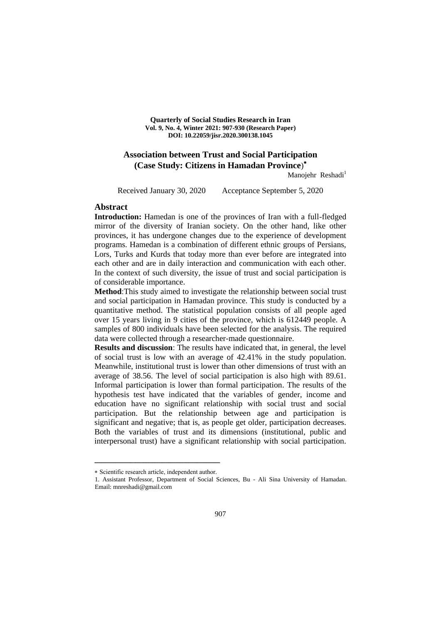**Quarterly of Social Studies Research in Iran Vol. 9, No. 4, Winter 2021: 907-930 (Research Paper) DOI: 10.22059/jisr.2020.300138.1045**

## **Association between Trust and Social Participation (Case Study: Citizens in Hamadan Province**)

Manojehr Reshadi<sup>1</sup>

Received January 30, 2020 Acceptance September 5, 2020

#### **Abstract**

**Introduction:** Hamedan is one of the provinces of Iran with a full-fledged mirror of the diversity of Iranian society. On the other hand, like other provinces, it has undergone changes due to the experience of development programs. Hamedan is a combination of different ethnic groups of Persians, Lors, Turks and Kurds that today more than ever before are integrated into each other and are in daily interaction and communication with each other. In the context of such diversity, the issue of trust and social participation is of considerable importance.

**Method**:This study aimed to investigate the relationship between social trust and social participation in Hamadan province. This study is conducted by a quantitative method. The statistical population consists of all people aged over 15 years living in 9 cities of the province, which is 612449 people. A samples of 800 individuals have been selected for the analysis. The required data were collected through a researcher-made questionnaire.

**Results and discussion**: The results have indicated that, in general, the level of social trust is low with an average of 42.41% in the study population. Meanwhile, institutional trust is lower than other dimensions of trust with an average of 38.56. The level of social participation is also high with 89.61. Informal participation is lower than formal participation. The results of the hypothesis test have indicated that the variables of gender, income and education have no significant relationship with social trust and social participation. But the relationship between age and participation is significant and negative; that is, as people get older, participation decreases. Both the variables of trust and its dimensions (institutional, public and interpersonal trust) have a significant relationship with social participation.

ــــــــــــــــــــــــــــــــــــــــــــــــــــــــــــــــــــــــــــــــــــــــــــــــــــــــــــــــــــــــــــــــــــــــــــــــ Scientific research article, independent author.

<sup>1.</sup> Assistant Professor, Department of Social Sciences, Bu - Ali Sina University of Hamadan. Email: mnreshadi@gmail.com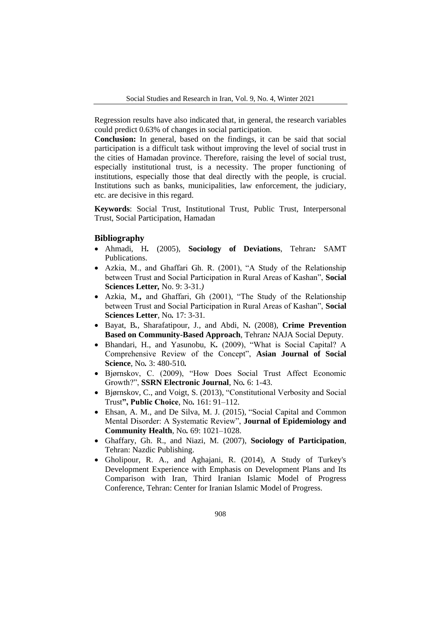Regression results have also indicated that, in general, the research variables could predict 0.63% of changes in social participation.

**Conclusion:** In general, based on the findings, it can be said that social participation is a difficult task without improving the level of social trust in the cities of Hamadan province. Therefore, raising the level of social trust, especially institutional trust, is a necessity. The proper functioning of institutions, especially those that deal directly with the people, is crucial. Institutions such as banks, municipalities, law enforcement, the judiciary, etc. are decisive in this regard.

**Keywords**: Social Trust, Institutional Trust, Public Trust, Interpersonal Trust, Social Participation, Hamadan

#### **Bibliography**

- Ahmadi, H*.* (2005), **Sociology of Deviations**, Tehran*:* SAMT Publications.
- Azkia, M., and Ghaffari Gh. R. (2001), "A Study of the Relationship between Trust and Social Participation in Rural Areas of Kashan", **Social Sciences Letter***,* No. 9: 3-31.*)*
- Azkia, M.*,* and Ghaffari, Gh (2001), "The Study of the Relationship between Trust and Social Participation in Rural Areas of Kashan", **Social Sciences Letter**, No*.* 17: 3-31*.*
- Bayat, B*.*, Sharafatipour, J*.,* and Abdi, N*.* (2008), **Crime Prevention Based on Community-Based Approach**, Tehran*:* NAJA Social Deputy*.*
- Bhandari, H., and Yasunobu, K*.* (2009), "What is Social Capital? A Comprehensive Review of the Concept", **Asian Journal of Social Science**, No*.* 3: 480-510*.*
- Bjørnskov, C. (2009), "How Does Social Trust Affect Economic Growth?", **SSRN Electronic Journal**, No*.* 6: 1-43.
- Bjørnskov, C., and Voigt, S. (2013), "Constitutional Verbosity and Social Trust**", Public Choice**, No*.* 161: 91–112.
- Ehsan, A. M., and De Silva, M. J. (2015), "Social Capital and Common Mental Disorder: A Systematic Review", **Journal of Epidemiology and Community Health**, No*.* 69: 1021–1028.
- Ghaffary, Gh. R., and Niazi, M. (2007), **Sociology of Participation**, Tehran: Nazdic Publishing.
- Gholipour, R. A., and Aghajani, R. (2014), A Study of Turkey's Development Experience with Emphasis on Development Plans and Its Comparison with Iran, Third Iranian Islamic Model of Progress Conference, Tehran: Center for Iranian Islamic Model of Progress*.*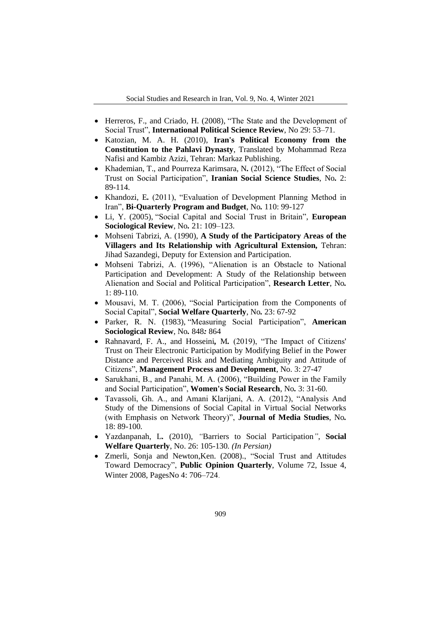- Herreros, F., and Criado, H. (2008), "The State and the Development of Social Trust", **International Political Science Review**, No 29: 53–71.
- Katozian, M. A. H. (2010), **Iran's Political Economy from the Constitution to the Pahlavi Dynasty**, Translated by Mohammad Reza Nafisi and Kambiz Azizi, Tehran: Markaz Publishing.
- Khademian, T., and Pourreza Karimsara, N*.* (2012), "The Effect of Social Trust on Social Participation", **Iranian Social Science Studies**, No*.* 2: 89-114*.*
- Khandozi, E*.* (2011), "Evaluation of Development Planning Method in Iran", **Bi-Quarterly Program and Budget**, No*.* 110: 99-127
- Li, Y. (2005), "Social Capital and Social Trust in Britain", **European Sociological Review**, No*.* 21: 109–123.
- Mohseni Tabrizi, A. (1990), **A Study of the Participatory Areas of the Villagers and Its Relationship with Agricultural Extension***,* Tehran: Jihad Sazandegi, Deputy for Extension and Participation*.*
- Mohseni Tabrizi, A. (1996), "Alienation is an Obstacle to National Participation and Development: A Study of the Relationship between Alienation and Social and Political Participation", **Research Letter**, No*.* 1: 89-110*.*
- Mousavi, M. T. (2006), "Social Participation from the Components of Social Capital", **Social Welfare Quarterly**, No*.* 23: 67-92
- Parker, R. N. (1983), "Measuring Social Participation", **American Sociological Review**, No*.* 848*:* 864
- Rahnavard, F. A., and Hosseini*,* M*.* (2019), "The Impact of Citizens' Trust on Their Electronic Participation by Modifying Belief in the Power Distance and Perceived Risk and Mediating Ambiguity and Attitude of Citizens", **Management Process and Development**, No. 3: 27-47
- Sarukhani, B., and Panahi, M. A. (2006), "Building Power in the Family and Social Participation", **Women's Social Research**, No*.* 3: 31-60*.*
- Tavassoli, Gh. A., and Amani Klarijani, A. A. (2012), "Analysis And Study of the Dimensions of Social Capital in Virtual Social Networks (with Emphasis on Network Theory)", **Journal of Media Studies**, No*.* 18: 89-100*.*
- Yazdanpanah, L*.* (2010), *"*Barriers to Social Participation*"*, **Social Welfare Quarterly**, No. 26: 105*-*130*. (In Persian)*
- Zmerli, Sonja and Newton,Ken. (2008)., "Social Trust and Attitudes Toward Democracy", **Public Opinion Quarterly**, Volume 72, Issue 4, Winter 2008, PagesNo 4: 706–724.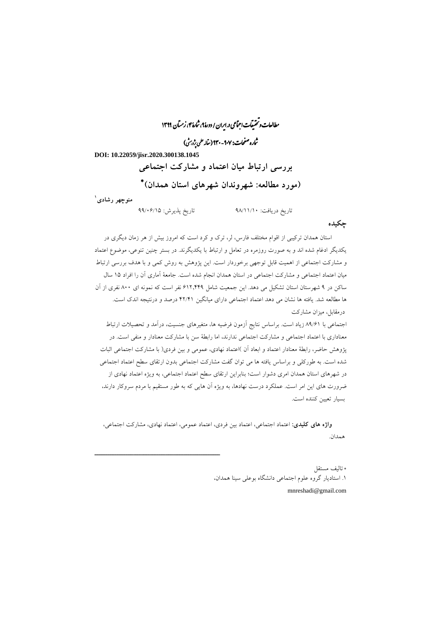مطالعات و تحقیقات اجتماعی در ایران / دورهٔ ۹، شارهٔ ۴، زمتان ۱۳۹۹

شاره صفحات: ۹۰۷-۱۴۴ ( مقاله علمی پژویش)

**DOI: 10.22059/jisr.2020.300138.1045** 

ــــــــــــــــــــــــــــــــــــــــــــــــــــــــــــــــــــــــــــــــــــــــــــــــــــــــــــــــــــــــــــــــــــــــــــــــ

**بررسی ارتباط میان اعتماد و مشارکت اجتماعی ( مورد مطالعه: شهروندان شهرهای استان همدان(**

**1 منوچهر رشادی**

یافت: تاریخ در 98/11/10 تاریخ پذیرش: 99/06/15

**چکیده**

استان همدان ترکیبی از اقوام مختلف فارس، لر، ترك و کرد است که امروز بیش از هر زمان دیگري در یکدیگر ادغام شده اند و به صورت روزمره در تعامل و ارتباط با یکدیگرند. در بستر چنین تنوعی، موضوع اعتماد و مشارکت اجتماعی از اهمیت قابل توجهی برخوردار است. این پژوهش به روش کمی و با هدف بررسی ارتباط میان اعتماد اجتماعی و مشارکت اجتماعی در استان همدان انجام شده است. جامعۀ آماري آن را افراد 15 سال ساکن در 9 شهرستان استان تشکیل می دهد. این جمعیت شامل 612.449 نفر است که نمونه اي 800 نفري از آن ها مطالعه شد. یافته ها نشان می دهد اعتماد اجتماعی داراي میانگین 42/41 درصد و درنتیجه اندك است. درمقابل، میزان مشارکت

اجتماعی با 89/61 زیاد است. براساس نتایج آزمون فرضیه ها، متغیرهاي جنسیت، درآمد و تحصیلات ارتباط معناداري با اعتماد اجتماعی و مشارکت اجتماعی ندارند، اما رابطۀ سن با مشارکت معنادار و منفی است. در پژوهش حاضر، رابطۀ معنادار اعتماد و ابعاد آن )اعتماد نهادي، عمومی و بین فردي( با مشارکت اجتماعی اثبات شده است. به طورکلی و براساس یافته ها می توان گفت مشارکت اجتماعی بدون ارتقاي سطح اعتماد اجتماعی در شهرهاي استان همدان امري دشوار است؛ بنابراین ارتقاي سطح اعتماد اجتماعی، به ویژه اعتماد نهادي از ضرورت هاي این امر است. عملکرد درست نهادها، به ویژه آن هایی که به طور مستقیم با مردم سروکار دارند، بسیار تعیین کننده است.

**واژه هاي کلیدي:** اعتماد اجتماعی، اعتماد بین فردي، اعتماد عمومی، اعتماد نهادي، مشارکت اجتماعی، همدان.

> تالیف مستقل .1 استادیار گروه علوم اجتماعی دانشگاه بوعلی سینا همدان، mnreshadi@gmail.com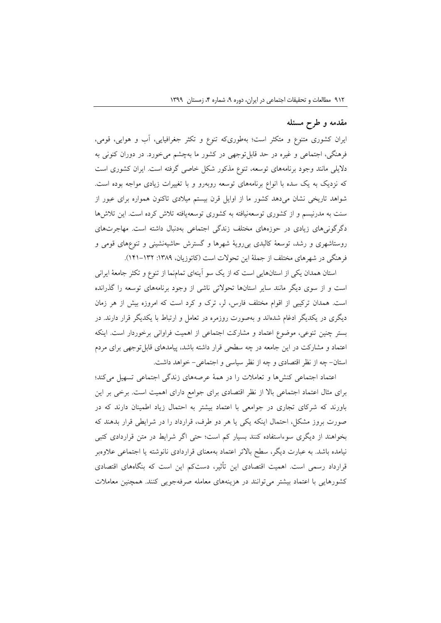#### **مقدمه و طرح مسئله**

ایران کشوری متنوع و متکثر است؛ بهطوریکه تنوع و تکثر جغرافیایی، آب و هوایی، قومی، فرهنگی، اجتماعی و غیره در حد قابلتوجهی در کشور ما بهچشم میخورد. در دوران کنونی به دالیلی مانند وجود برنامههای توسعه، تنوع مذکور شکل خاصی گرفته است. ایران کشوری است که نزدیک به یک سده با انواع برنامههای توسعه روبهرو و با تغییرات زیادی مواجه بوده است. شواهد تاریخی نشان میدهد کشور ما از اوایل قرن بیستم میالدی تاکنون همواره برای عبور از سنت به مدرنیسم و از کشوری توسعهنیافته به کشوری توسعهیافته تالش کرده است. این تالشها دگرگونیهای زیادی در حوزههای مختلف زندگی اجتماعی بهدنبال داشته است. مهاجرتهای روستاشهری و رشد، توسعة کالبدی بیرویة شهرها و گسترش حاشیهنشینی و تنوعهای قومی و فرهنگی در شهرهای مختلف از جملهٔ این تحولات است (کاتوزیان، ۱۳۸۹: ۱۳۲–۱۴۱).

استان همدان یکی از استانهایی است که از یک سو آینهای تمامنما از تنوع و تکثر جامعة ایرانی است و از سوی دیگر مانند سایر استانها تحوالتی ناشی از وجود برنامههای توسعه را گذرانده است. همدان ترکیبی از اقوام مختلف فارس، لر، ترک و کرد است که امروزه بیش از هر زمان دیگری در یکدیگر ادغام شدهاند و بهصورت روزمره در تعامل و ارتباط با یکدیگر قرار دارند. در بستر چنین تنوعی، موضوع اعتماد و مشارکت اجتماعی از اهمیت فراوانی برخوردار است. اینکه اعتماد و مشارکت در این جامعه در چه سطحی قرار داشته باشد، پیامدهای قابلتوجهی برای مردم استان- چه از نظر اقتصادی و چه از نظر سیاسی و اجتماعی- خواهد داشت.

اعتماد اجتماعی کنشها و تعامالت را در همة عرصههای زندگی اجتماعی تسهیل میکند؛ برای مثال اعتماد اجتماعی باال از نظر اقتصادی برای جوامع دارای اهمیت است. برخی بر این باورند که شرکای تجاری در جوامعی با اعتماد بیشتر به احتمال زیاد اطمینان دارند که در صورت بروز مشکل، احتمال اینکه یکی یا هر دو طرف، قرارداد را در شرایطی قرار بدهند که بخواهند از دیگری سوءاستفاده کنند بسیار کم است؛ حتی اگر شرایط در متن قراردادی کتبی نیامده باشد. به عبارت دیگر، سطح باالتر اعتماد بهمعنای قراردادی نانوشته یا اجتماعی عالوهبر قرارداد رسمی است. اهمیت اقتصادی این تأثیر، دستکم این است که بنگاههای اقتصادی کشورهایی با اعتماد بیشتر میتوانند در هزینههای معامله صرفهجویی کنند. همچنین معامالت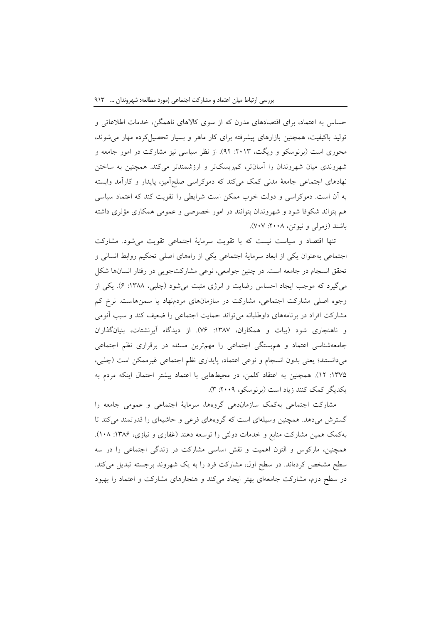حساس به اعتماد، برای اقتصادهای مدرن که از سوی کاالهای ناهمگن، خدمات اطالعاتی و تولید باکیفیت، همچنین بازارهای پیشرفته برای کار ماهر و بسیار تحصیلکرده مهار میشوند، محوری است (برنوسکو و ویگت، ۲۰۱۳: ۹۲). از نظر سیاسی نیز مشارکت در امور جامعه و شهروندی میان شهروندان را آسانتر، کمریسکتر و ارزشمندتر میکند. همچنین به ساختن نهادهای اجتماعی جامعة مدنی کمک میکند که دموکراسی صلحآمیز، پایدار و کارآمد وابسته به آن است. دموکراسی و دولت خوب ممکن است شرایطی را تقویت کند که اعتماد سیاسی هم بتواند شکوفا شود و شهروندان بتوانند در امور خصوصی و عمومی همکاری مؤثری داشته باشند (زمرلی و نیوتن، ۲۰۰۸: ۷۰۷).

تنها اقتصاد و سیاست نیست که با تقویت سرمایة اجتماعی تقویت میشود. مشارکت اجتماعی بهعنوان یکی از ابعاد سرمایة اجتماعی یکی از راههای اصلی تحکیم روابط انسانی و تحقق انسجام در جامعه است. در چنین جوامعی، نوعی مشارکتجویی در رفتار انسانها شکل میگیرد که موجب ایجاد احساس رضایت و انرژی مثبت میشود (چلبی، ۱۳۸۸: ۶). یکی از وجوه اصلی مشارکت اجتماعی، مشارکت در سازمانهای مردمنهاد یا سمنهاست. نرخ کم مشارکت افراد در برنامههای داوطلبانه میتواند حمایت اجتماعی را ضعیف کند و سبب آنومی و ناهنجاری شود (بیات و همکاران، ۱۳۸۷: ۷۶). از دیدگاه آیزنشتات، بنیانگذاران جامعهشناسی اعتماد و همبستگی اجتماعی را مهمترین مسئله در برقراری نظم اجتماعی میدانستند؛ یعنی بدون انسجام و نوعی اعتماد، پایداری نظم اجتماعی غیرممکن است )چلبی، :1375 12(. همچنین به اعتقاد کلمن، در محیطهایی با اعتماد بیشتر احتمال اینکه مردم به یکدیگر کمک کنند زیاد است )برنوسکو، :2009 3(.

مشارکت اجتماعی بهکمک سازماندهی گروهها، سرمایة اجتماعی و عمومی جامعه را گسترش میدهد. همچنین وسیلهای است که گروههای فرعی و حاشیهای را قدرتمند میکند تا بهکمک همین مشارکت منابع و خدمات دولتی را توسعه دهند (غفاری و نیازی، ۱۳۸۶: ۱۰۸). همچنین، مارکوس و التون اهمیت و نقش اساسی مشارکت در زندگی اجتماعی را در سه سطح مشخص کردهاند. در سطح اول، مشارکت فرد را به یک شهروند برجسته تبدیل میکند. در سطح دوم، مشارکت جامعهای بهتر ایجاد میکند و هنجارهای مشارکت و اعتماد را بهبود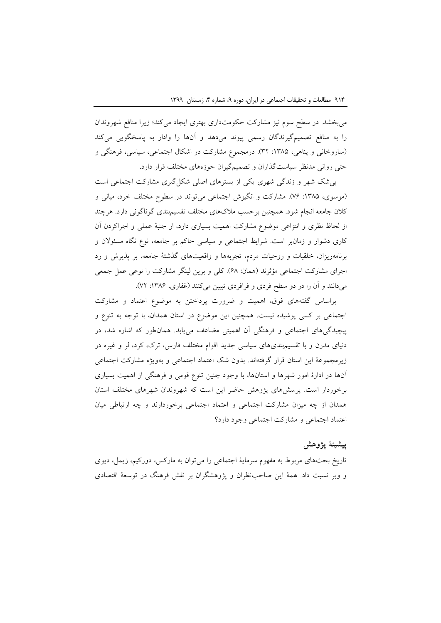میبخشد. در سطح سوم نیز مشارکت حکومتداری بهتری ایجاد میکند؛ زیرا منافع شهروندان را به منافع تصمیمگیرندگان رسمی پیوند میدهد و آنها را وادار به پاسخگویی میکند (ساروخانی و پناهی، ۱۳۸۵: ۳۲). درمجموع مشارکت در اشکال اجتماعی، سیاسی، فرهنگی و حتی روانی مدنظر سیاستگذاران و تصمیمگیران حوزههای مختلف قرار دارد.

بیشک شهر و زندگی شهری یکی از بسترهای اصلی شکلگیری مشارکت اجتماعی است )موسوی، :1385 76(. مشارکت و انگیزش اجتماعی میتواند در سطوح مختلف خرد، میانی و کالن جامعه انجام شود. همچنین برحسب مالکهای مختلف تقسیمبندی گوناگونی دارد. هرچند از لحاظ نظری و انتزاعی موضوع مشارکت اهمیت بسیاری دارد، از جنبة عملی و اجراکردن آن کاری دشوار و زمانبر است. شرایط اجتماعی و سیاسی حاکم بر جامعه، نوع نگاه مسئوالن و برنامهریزان، خلقیات و روحیات مردم، تجربهها و واقعیتهای گذشتة جامعه، بر پذیرش و رد اجرای مشارکت اجتماعی مؤثرند )همان: 68(. کلی و برین لینگر مشارکت را نوعی عمل جمعی میدانند و آن را در دو سطح فردی و فرافردی تبیین میکنند (غفاری، ۱۳۸۶: ۷۲).

براساس گفتههای فوق، اهمیت و ضرورت پرداختن به موضوع اعتماد و مشارکت اجتماعی بر کسی پوشیده نیست. همچنین این موضوع در استان همدان، با توجه به تنوع و پیچیدگیهای اجتماعی و فرهنگی آن اهمیتی مضاعف مییابد. همانطور که اشاره شد، در دنیای مدرن و با تقسیمبندیهای سیاسی جدید اقوام مختلف فارس، ترک، کرد، لر و غیره در زیرمجموعة این استان قرار گرفتهاند. بدون شک اعتماد اجتماعی و بهویژه مشارکت اجتماعی آنها در ادارة امور شهرها و استانها، با وجود چنین تنوع قومی و فرهنگی از اهمیت بسیاری برخوردار است. پرسشهای پژوهش حاضر این است که شهروندان شهرهای مختلف استان همدان از چه میزان مشارکت اجتماعی و اعتماد اجتماعی برخوردارند و چه ارتباطی میان اعتماد اجتماعی و مشارکت اجتماعی وجود دارد؟

## **پیشینة پژوهش**

تاریخ بحثهای مربوط به مفهوم سرمایة اجتماعی را میتوان به مارکس، دورکیم، زیمل، دیوی و وبر نسبت داد. همة این صاحبنظران و پژوهشگران بر نقش فرهنگ در توسعة اقتصادی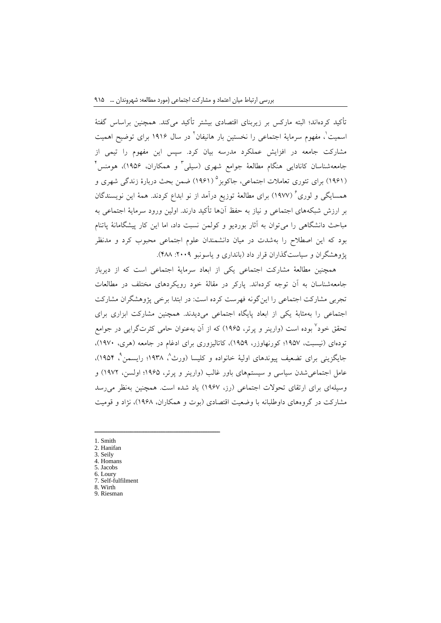تأکید کردهاند؛ البته مارکس بر زیربنای اقتصادی بیشتر تأکید میکند. همچنین براساس گفتة اسمیت ٰ، مفهوم سرمایهٔ اجتماعی را نخستین بار هانیفان ؑ در سال ۱۹۱۶ برای توضیح اهمیت مشارکت جامعه در افزایش عملکرد مدرسه بیان کرد. سپس این مفهوم را تیمی از جامعهشناسان کانادایی هنگام مطالعهٔ جوامع شهری (سیلی<sup>۳</sup> و همکاران، ۱۹۵۶)، هومنس<sup>۲</sup> )1961( برای تئوری تعامالت اجتماعی، جاکوبز 5 )1961( ضمن بحث دربارة زندگی شهری و همسایگی و لوری<sup>۲</sup> (۱۹۷۷) برای مطالعهٔ توزیع درآمد از نو ابداع کردند. همهٔ این نویسندگان بر ارزش شبکههای اجتماعی و نیاز به حفظ آنها تأکید دارند. اولین ورود سرمایة اجتماعی به مباحث دانشگاهی را میتوان به آثار بوردیو و کولمن نسبت داد، اما این کار پیشگامانة پاتنام بود که این اصطالح را بهشدت در میان دانشمندان علوم اجتماعی محبوب کرد و مدنظر پژوهشگران و سیاستگذاران قرار داد (بانداری و یاسونبو ۲۰۰۹: ۴۸۸).

همچنین مطالعة مشارکت اجتماعی یکی از ابعاد سرمایة اجتماعی است که از دیرباز جامعهشناسان به آن توجه کردهاند. پارکر در مقالة خود رویکردهای مختلف در مطالعات تجربی مشارکت اجتماعی را اینگونه فهرست کرده است: در ابتدا برخی پژوهشگران مشارکت اجتماعی را بهمثابة یکی از ابعاد پایگاه اجتماعی میدیدند. همچنین مشارکت ابزاری برای تحقق خود<sup>۷</sup> بوده است (وارینر و پرتر، ۱۹۶۵) که از آن بهعنوان حامی کثرتگرایی در جوامع تودهای (نیسبت، ۱۹۵۷؛ کورنهاوزر، ۱۹۵۹)، کاتالیزوری برای ادغام در جامعه (هری، ۱۹۷۰)، جایگزینی برای تضعیف پیوندهای اولیهٔ خانواده و کلیسا (ورث<sup>^</sup>، ۱۹۳۸؛ رایسمن<sup>°</sup>، ۱۹۵۴)، عامل اجتماعی شدن سیاسی و سیستمهای باور غالب (وارینر و پرتر، ۱۹۶۵؛ اولسن، ۱۹۷۲) و وسیلهای برای ارتقای تحوالت اجتماعی )رز، 1967( یاد شده است. همچنین بهنظر میرسد مشارکت در گروههای داوطلبانه با وضعیت اقتصادی )بوت و همکاران، 1968(، نژاد و قومیت

- 1. Smith
- 2. Hanifan
- 3. Seily 4. Homans
- 5. Jacobs
- 6. Loury
- 7. Self-fulfilment

ــــــــــــــــــــــــــــــــــــــــــــــــــــــــــــــــــــــــــــــــــــــــــــــــــــــــــــــــــــــــــــــــــــــــــــــــ

8. Wirth 9. Riesman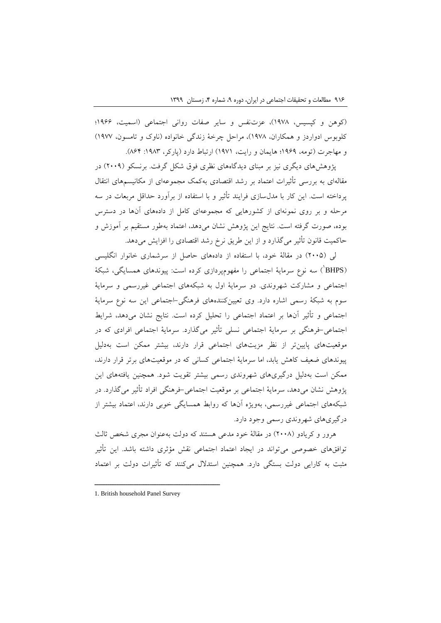)کوهن و کپسیس، 1978(، عزتنفس و سایر صفات روانی اجتماعی )اسمیت، 1966؛ کلوبوس ادواردز و همکاران، 1978(، مراحل چرخة زندگی خانواده )ناوک و تامسون، 1977( و مهاجرت (تومه، ۱۹۶۹؛ هایمان و رایت، ۱۹۷۱) ارتباط دارد (پارکر، ۱۹۸۳: ۸۶۴).

پژوهشهای دیگری نیز بر مبنای دیدگاههای نظری فوق شکل گرفت. برنسکو )2009( در مقالهای به بررسی تأثیرات اعتماد بر رشد اقتصادی بهکمک مجموعهای از مکانیسمهای انتقال پرداخته است. این کار با مدلسازی فرایند تأثیر و با استفاده از برآورد حداقل مربعات در سه مرحله و بر روی نمونهای از کشورهایی که مجموعهای کامل از دادههای آنها در دسترس بوده، صورت گرفته است. نتایج این پژوهش نشان میدهد، اعتماد بهطور مستقیم بر آموزش و حاکمیت قانون تأثیر میگذارد و از این طریق نرخ رشد اقتصادی را افزایش میدهد.

لی )2005( در مقالة خود، با استفاده از دادههای حاصل از سرشماری خانوار انگلیسی (BHPS<sup>)</sup>) سه نوع سرمایهٔ اجتماعی را مفهومپردازی کرده است: پیوندهای همسایگی، شبکهٔ اجتماعی و مشارکت شهروندی. دو سرمایة اول به شبکههای اجتماعی غیررسمی و سرمایة سوم به شبکة رسمی اشاره دارد. وی تعیینکنندههای فرهنگی-اجتماعی این سه نوع سرمایة اجتماعی و تأثیر آنها بر اعتماد اجتماعی را تحلیل کرده است. نتایج نشان میدهد، شرایط اجتماعی-فرهنگی بر سرمایة اجتماعی نسلی تأثیر میگذارد. سرمایة اجتماعی افرادی که در موقعیتهای پایینتر از نظر مزیتهای اجتماعی قرار دارند، بیشتر ممکن است بهدلیل پیوندهای ضعیف کاهش یابد، اما سرمایة اجتماعی کسانی که در موقعیتهای برتر قرار دارند، ممکن است بهدلیل درگیریهای شهروندی رسمی بیشتر تقویت شود. همچنین یافتههای این پژوهش نشان میدهد، سرمایة اجتماعی بر موقعیت اجتماعی-فرهنگی افراد تأثیر میگذارد. در شبکههای اجتماعی غیررسمی، بهویژه آنها که روابط همسایگی خوبی دارند، اعتماد بیشتر از درگیریهای شهروندی رسمی وجود دارد.

هرور و کریادو )2008( در مقالة خود مدعی هستند که دولت بهعنوان مجری شخص ثالث توافقهای خصوصی میتواند در ایجاد اعتماد اجتماعی نقش مؤثری داشته باشد. این تأثیر مثبت به کارایی دولت بستگی دارد. همچنین استدالل میکنند که تأثیرات دولت بر اعتماد

ــــــــــــــــــــــــــــــــــــــــــــــــــــــــــــــــــــــــــــــــــــــــــــــــــــــــــــــــــــــــــــــــــــــــــــــــ

<sup>1.</sup> British household Panel Survey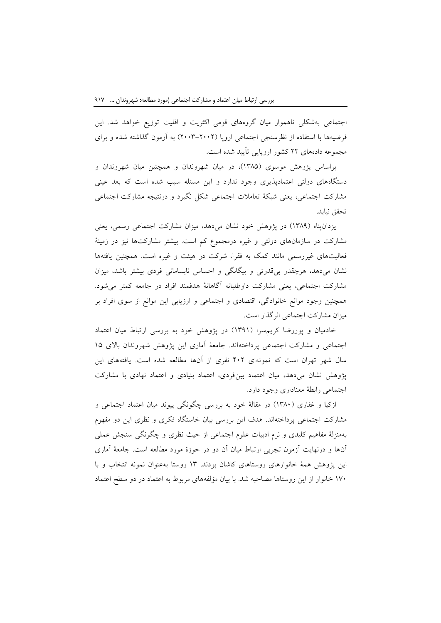اجتماعی بهشکلی ناهموار میان گروههای قومی اکثریت و اقلیت توزیع خواهد شد. این فرضیهها با استفاده از نظرسنجی اجتماعی اروپا )2003-2002( به آزمون گذاشته شده و برای مجموعه دادههای 22 کشور اروپایی تأیید شده است.

براساس پژوهش موسوی )1385(، در میان شهروندان و همچنین میان شهروندان و دستگاههای دولتی اعتمادپذیری وجود ندارد و این مسئله سبب شده است که بعد عینی مشارکت اجتماعی، یعنی شبکة تعامالت اجتماعی شکل نگیرد و درنتیجه مشارکت اجتماعی تحقق نیابد.

یزدانپناه )1389( در پژوهش خود نشان میدهد، میزان مشارکت اجتماعی رسمی، یعنی مشارکت در سازمانهای دولتی و غیره درمجموع کم است. بیشتر مشارکتها نیز در زمینة فعالیتهای غیررسمی مانند کمک به فقرا، شرکت در هیئت و غیره است. همچنین یافتهها نشان میدهد، هرچقدر بیقدرتی و بیگانگی و احساس نابسامانی فردی بیشتر باشد، میزان مشارکت اجتماعی، یعنی مشارکت داوطلبانه آگاهانة هدفمند افراد در جامعه کمتر میشود. همچنین وجود موانع خانوادگی، اقتصادی و اجتماعی و ارزیابی این موانع از سوی افراد بر میزان مشارکت اجتماعی اثرگذار است.

خادمیان و پوررضا کریمسرا )1391( در پژوهش خود به بررسی ارتباط میان اعتماد اجتماعی و مشارکت اجتماعی پرداختهاند. جامعة آماری این پژوهش شهروندان باالی 15 سال شهر تهران است که نمونهای 402 نفری از آنها مطالعه شده است. یافتههای این پژوهش نشان میدهد، میان اعتماد بینفردی، اعتماد بنیادی و اعتماد نهادی با مشارکت اجتماعی رابطة معناداری وجود دارد.

ازکیا و غفاری (۱۳۸۰) در مقالهٔ خود به بررسی چگونگی پیوند میان اعتماد اجتماعی و مشارکت اجتماعی پرداختهاند. هدف این بررسی بیان خاستگاه فکری و نظری این دو مفهوم بهمنزلة مفاهیم کلیدی و نرم ادبیات علوم اجتماعی از حیث نظری و چگونگی سنجش عملی آنها و درنهایت آزمون تجربی ارتباط میان آن دو در حوزة مورد مطالعه است. جامعة آماری این پژوهش همة خانوارهای روستاهای کاشان بودند. 13 روستا بهعنوان نمونه انتخاب و با 170 خانوار از این روستاها مصاحبه شد. با بیان مؤلفههای مربوط به اعتماد در دو سطح اعتماد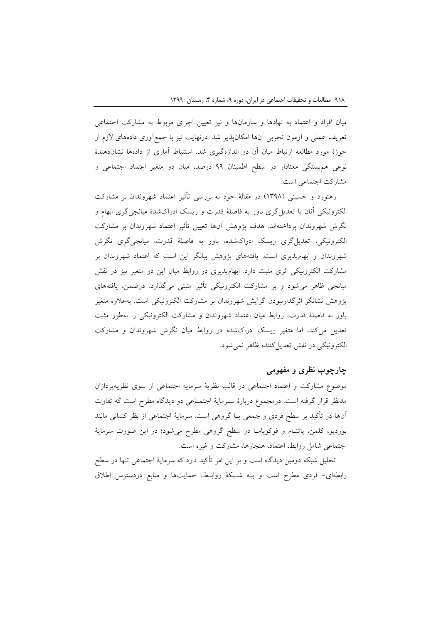میان افراد و اعتماد به نهادها و سازمانها و نیز تعیین اجزای مربوط به مشارکت اجتماعی تعریف عملی و آزمون تجربی آنها امکانپذیر شد. درنهایت نیز با جمعآوری دادههای الزم از حوزة مورد مطالعه ارتباط میان آن دو اندازهگیری شد. استنباط آماری از دادهها نشاندهندة نوعی همبستگی معنادار در سطح اطمینان 99 درصد، میان دو متغیر اعتماد اجتماعی و مشارکت اجتماعی است.

رهنورد و حسینی (۱۳۹۸) در مقالهٔ خود به بررسی تأثیر اعتماد شهروندان بر مشارکت الکترونیکی آنان با تعدیلگری باور به فاصلة قدرت و ریسک ادراکشدة میانجیگری ابهام و نگرش شهروندان پرداختهاند. هدف پژوهش آنها تعیین تأثیر اعتماد شهروندان بر مشارکت الکترونیکی، تعدیلگری ریسک ادراکشده، باور به فاصلة قدرت، میانجیگری نگرش شهروندان و ابهامپذیری است. یافتههای پژوهش بیانگر این است که اعتماد شهروندان بر مشارکت الکترونیکی اثری مثبت دارد. ابهامپذیری در روابط میان این دو متغیر نیز در نقش میانجی ظاهر میشود و بر مشارکت الکترونیکی تأثیر مثبتی میگذارد. درضمن، یافتههای پژوهش نشانگر اثرگذارنبودن گرایش شهروندان بر مشارکت الکترونیکی است. بهعالوه متغیر باور به فاصلة قدرت، روابط میان اعتماد شهروندان و مشارکت الکترونیکی را بهطور مثبت تعدیل میکند، اما متغیر ریسک ادراکشده در روابط میان نگرش شهروندان و مشارکت الکترونیکی در نقش تعدیل کننده ظاهر نمی شود.

# **چارچوب نظری و مفهومی**

موضوع مشارکت و اعتماد اجتماعی در قالب نظریة سرمایه اجتماعی از سوی نظریهپردازان مدنظر قرار گرفته است. درمجموع دربارة سنرمایة اجتمناعی دو دیدگاه مطرح است که تفاوت آنها در تأکید بر سطح فردی و جمعی ینا گروهی است. سرمایة اجتماعی از نظر کسانی مانند بوردیو، کلمن، پاتننام و فوکویامنا در سطح گروهی مطرح میشود؛ در این صورت سرمایة اجتماعی شامل روابط، اعتماد، هنجارها، مشارکت و غیره است.

تحلیل شبکه دومین دیدگاه است و بر این امر تأکید دارد که سرمایة اجتماعی تنها در سطح رابطهای- فردی مطرح است و بنه شنبکة روابنط، حمایتها و منابع دردسترس اطالق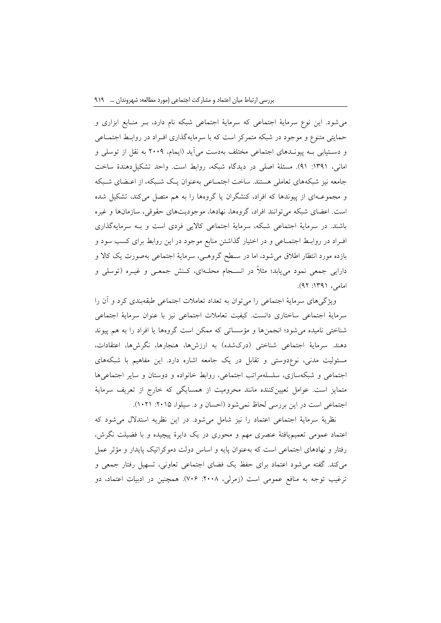میشود. این نوع سرمایة اجتماعی که سرمایة اجتماعی شبکه نام دارد، بنر مننابع ابزاری و حمایتی متنوع و موجود در شبکه متمرکز است که با سرمایهگذاری افنراد در روابنط اجتمناعی و دسـتیابی بــه پیونــدهای اجتماعی مختلف بهدست می]ید (ایمام، ۲۰۰۹ به نقل از توسلی و امانی، ۱۳۹۱: ۹۱). مسئلهٔ اصلی در دیدگاه شبکه، روابط است. واحد تشکیل دهندهٔ ساخت جامعه نیز شبکههای تعاملی هستند. ساخت اجتمناعی بهعنوان ینک شنبکه، از اعنضای شنبکه و مجموعنهای از پیوندها که افراد، کنشگران یا گروهها را به هم متصل میکند، تشکیل شده است. اعضای شبکه میتوانند افراد، گروهها، نهادها، موجودیتهای حقوقی، سازمانها و غیره باشند. در سرمایة اجتماعی شبکه، سرمایة اجتماعی کاالیی فردی است و بنه سرمایهگذاری افنراد در روابنط اجتمناعی و در اختیار گذاشتن منابع موجود در این روابط برای کسب سود و بازده مورد انتظار اطالق میشود، اما در سنطح گروهنی، سرمایة اجتماعی بهصورت یک کاال و دارایی جمعی نمود مییابد؛ مثالً در انسنجام محلنهای، کننش جمعنی و غینره )توسلی و امامی، ۱۳۹۱: ۹۲).

ویژگیهای سرمایة اجتماعی را میتوان به تعداد تعامالت اجتماعی طبقهبندی کرد و آن را سرمایة اجتماعی ساختاری دانست. کیفیت تعامالت اجتماعی نیز با عنوان سرمایة اجتماعی شناختی نامیده میشود؛ انجمنها و مؤسساتی که ممکن است گروهها یا افراد را به هم پیوند دهند. سرمایهٔ اجتماعی شناختی (درکشده) به ارزشها، هنجارها، نگرشها، اعتقادات، مسئولیت مدنی، نوعدوستی و تقابل در یک جامعه اشاره دارد. این مفاهیم با شبکههای اجتماعی و شبکهسازی، سلسلهمراتب اجتماعی، روابط خانواده و دوستان و سایر اجتماعیها متمایز است. عوامل تعیینکننده مانند محرومیت از همسایگی که خارج از تعریف سرمایة اجتماعی است در این بررسی لحاظ نمی شود (احسان و د. سیلوا، ۲۰۱۵: ۱۰۲۱).

نظریة سرمایة اجتماعی اعتماد را نیز شامل میشود. در این نظریه استدالل میشود که اعتماد عمومی تعمیمیافتة عنصری مهم و محوری در یک دایرة پیچیده و با فضیلت نگرش، رفتار و نهادهای اجتماعی است که بهعنوان پایه و اساس دولت دموکراتیک پایدار و مؤثر عمل میکند. گفته میشود اعتماد برای حفظ یک فضای اجتماعی تعاونی، تسهیل رفتار جمعی و ترغیب توجه به منافع عمومی است (زمرلی، ۲۰۰۸: ۷۰۶). همچنین در ادبیات اعتماد، دو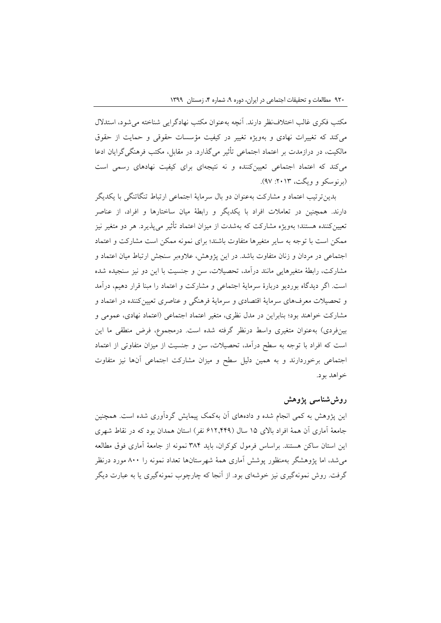مکتب فکری غالب اختالفنظر دارند. آنچه بهعنوان مکتب نهادگرایی شناخته میشود، استدالل میکند که تغییرات نهادی و بهویژه تغییر در کیفیت مؤسسات حقوقی و حمایت از حقوق مالکیت، در درازمدت بر اعتماد اجتماعی تأثیر میگذارد. در مقابل، مکتب فرهنگیگرایان ادعا میکند که اعتماد اجتماعی تعیینکننده و نه نتیجهای برای کیفیت نهادهای رسمی است (برنوسکو و ویگت، ۲۰۱۳: ۹۷).

بدینترتیب اعتماد و مشارکت بهعنوان دو بال سرمایة اجتماعی ارتباط تنگاتنگی با یکدیگر دارند. همچنین در تعامالت افراد با یکدیگر و رابطة میان ساختارها و افراد، از عناصر تعیینکننده هستند؛ بهویژه مشارکت که بهشدت از میزان اعتماد تأثیر میپذیرد. هر دو متغیر نیز ممکن است با توجه به سایر متغیرها متفاوت باشند؛ برای نمونه ممکن است مشارکت و اعتماد اجتماعی در مردان و زنان متفاوت باشد. در این پژوهش، عالوهبر سنجش ارتباط میان اعتماد و مشارکت، رابطة متغیرهایی مانند درآمد، تحصیالت، سن و جنسیت با این دو نیز سنجیده شده است. اگر دیدگاه بوردیو دربارة سرمایة اجتماعی و مشارکت و اعتماد را مبنا قرار دهیم، درآمد و تحصیالت معرفهای سرمایة اقتصادی و سرمایة فرهنگی و عناصری تعیینکننده در اعتماد و مشارکت خواهند بود؛ بنابراین در مدل نظری، متغیر اعتماد اجتماعی )اعتماد نهادی، عمومی و بینفردی) بهعنوان متغیری واسط درنظر گرفته شده است. درمجموع، فرض منطقی ما این است که افراد با توجه به سطح درآمد، تحصیالت، سن و جنسیت از میزان متفاوتی از اعتماد اجتماعی برخوردارند و به همین دلیل سطح و میزان مشارکت اجتماعی آنها نیز متفاوت خواهد بود.

# **روششناسی پژوهش**

این پژوهش به کمی انجام شده و دادههای آن بهکمک پیمایش گردآوری شده است. همچنین جامعة آماری آن همة افراد باالی 15 سال )612.449 نفر( استان همدان بود که در نقاط شهری این استان ساکن هستند. براساس فرمول کوکران، باید 384 نمونه از جامعة آماری فوق مطالعه میشد، اما پژوهشگر بهمنظور پوشش آماری همة شهرستانها تعداد نمونه را 800 مورد درنظر گرفت. روش نمونهگیری نیز خوشهای بود. از آنجا که چارچوب نمونهگیری یا به عبارت دیگر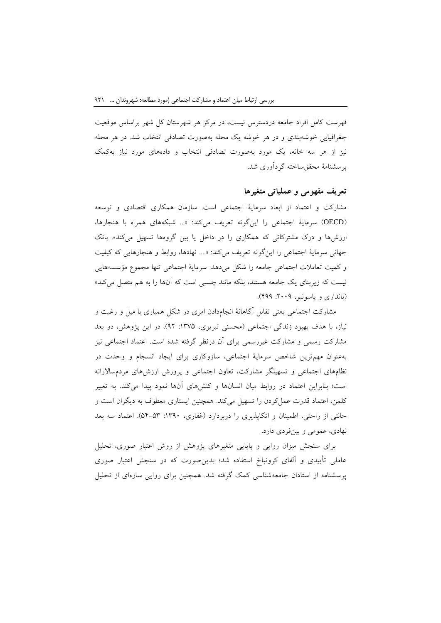فهرست کامل افراد جامعه دردسترس نیست، در مرکز هر شهرستان کل شهر براساس موقعیت جغرافیایی خوشهبندی و در هر خوشه یک محله بهصورت تصادفی انتخاب شد. در هر محله نیز از هر سه خانه، یک مورد بهصورت تصادفی انتخاب و دادههای مورد نیاز بهکمک پرسشنامة محققساخته گردآوری شد.

#### **تعریف مفهومی و عملیاتی متغیرها**

مشارکت و اعتماد از ابعاد سرمایة اجتماعی است. سازمان همکاری اقتصادی و توسعه )OECD )سرمایة اجتماعی را اینگونه تعریف میکند: »... شبکههای همراه با هنجارها، ارزشها و درک مشترکاتی که همکاری را در داخل یا بین گروهها تسهیل میکند«. بانک جهانی سرمایة اجتماعی را اینگونه تعریف میکند: ».... نهادها، روابط و هنجارهایی که کیفیت و کمیت تعامالت اجتماعی جامعه را شکل میدهد. سرمایة اجتماعی تنها مجموع مؤسسههایی نیست که زیربنای یک جامعه هستند، بلکه مانند چسبی است که آنها را به هم متصل میکند« )بانداری و یاسونبو، :2009 499(.

مشارکت اجتماعی یعنی تقابل آگاهانة انجامدادن امری در شکل همیاری با میل و رغبت و نیاز، با هدف بهبود زندگی اجتماعی (محسنی تبریزی، ۱۳۷۵: ۹۲). در این پژوهش، دو بعد مشارکت رسمی و مشارکت غیررسمی برای آن درنظر گرفته شده است. اعتماد اجتماعی نیز بهعنوان مهمترین شاخص سرمایة اجتماعی، سازوکاری برای ایجاد انسجام و وحدت در نظامهای اجتماعی و تسهیلگر مشارکت، تعاون اجتماعی و پرورش ارزشهای مردمساالرانه است؛ بنابراین اعتماد در روابط میان انسانها و کنشهای آنها نمود پیدا میکند. به تعبیر کلمن، اعتماد قدرت عملکردن را تسهیل میکند. همچنین ایستاری معطوف به دیگران است و حالتی از راحتی، اطمینان و اتکاپذیری را دربردارد )غفاری، :1390 54-53(. اعتماد سه بعد نهادی، عمومی و بینفردی دارد.

برای سنجش میزان روایی و پایایی متغیرهای پژوهش از روش اعتبار صوری، تحلیل عاملی تأییدی و آلفای کرونباخ استفاده شد؛ بدینصورت که در سنجش اعتبار صوری پرسشنامه از استادان جامعهشناسی کمک گرفته شد. همچنین برای روایی سازهای از تحلیل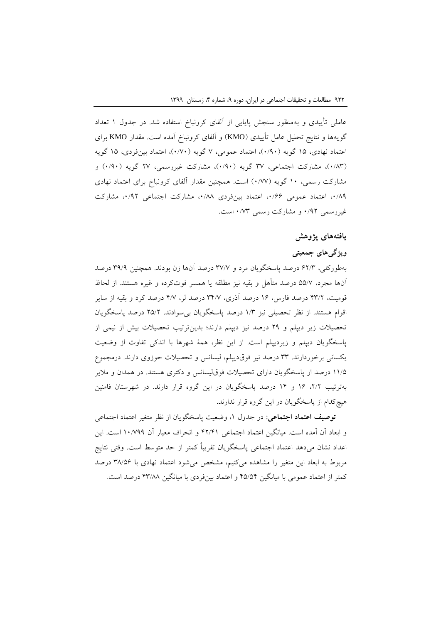عاملی تأییدی و بهمنظور سنجش پایایی از آلفای کرونباخ استفاده شد. در جدول 1 تعداد گویهها و نتایج تحلیل عامل تأییدی )KMO )و آلفای کرونباخ آمده است. مقدار KMO برای اعتماد نهادی، ۱۵ گویه (۰/۹۰)، اعتماد عمومی، ۷ گویه (۰/۷۰)، اعتماد بینفردی، ۱۵ گویه (۰/۸۳)، مشارکت اجتماعی، ۳۷ گویه (۰/۹۰)، مشارکت غیررسمی، ۲۷ گویه (۰/۹۰) و مشارکت رسمی، 10 گویه )0/77( است. همچنین مقدار آلفای کرونباخ برای اعتماد نهادی ،0/89 اعتماد عمومی ،0/66 اعتماد بینفردی ،0/88 مشارکت اجتماعی ،0/92 مشارکت غیررسمی 0/92 و مشارکت رسمی 0/73 است.

# **یافتههای پژوهش**

# **ویژگیهای جمعیتی**

بهطورکلی، 62/3 درصد پاسخگویان مرد و 37/7 درصد آنها زن بودند. همچنین 39/9 درصد آنها مجرد، 55/7 درصد متأهل و بقیه نیز مطلقه یا همسر فوتکرده و غیره هستند. از لحاظ قومیت، 43/2 درصد فارس، 16 درصد آذری، 34/7 درصد لر، 4/7 درصد کرد و بقیه از سایر اقوام هستند. از نظر تحصیلی نیز 1/3 درصد پاسخگویان بیسوادند. 25/2 درصد پاسخگویان تحصیالت زیر دیپلم و 29 درصد نیز دیپلم دارند؛ بدینترتیب تحصیالت بیش از نیمی از پاسخگویان دیپلم و زیردیپلم است. از این نظر، همة شهرها با اندکی تفاوت از وضعیت یکسانی برخوردارند. 33 درصد نیز فوقدیپلم، لیسانس و تحصیالت حوزوی دارند. درمجموع 11/5 درصد از پاسخگویان دارای تحصیالت فوقلیسانس و دکتری هستند. در همدان و مالیر بهترتیب ،2/2 16 و 14 درصد پاسخگویان در این گروه قرار دارند. در شهرستان فامنین هیچکدام از پاسخگویان در این گروه قرار ندارند.

**توصیف اعتماد اجتماعی:** در جدول ،1 وضعیت پاسخگویان از نظر متغیر اعتماد اجتماعی و ابعاد آن آمده است. میانگین اعتماد اجتماعی 42/41 و انحراف معیار آن 10/799 است. این اعداد نشان میدهد اعتماد اجتماعی پاسخگویان تقریباً کمتر از حد متوسط است. وقتی نتایج مربوط به ابعاد این متغیر را مشاهده میکنیم، مشخص میشود اعتماد نهادی با 38/56 درصد کمتر از اعتماد عمومی با میانگین 45/54 و اعتماد بینفردی با میانگین 43/88 درصد است.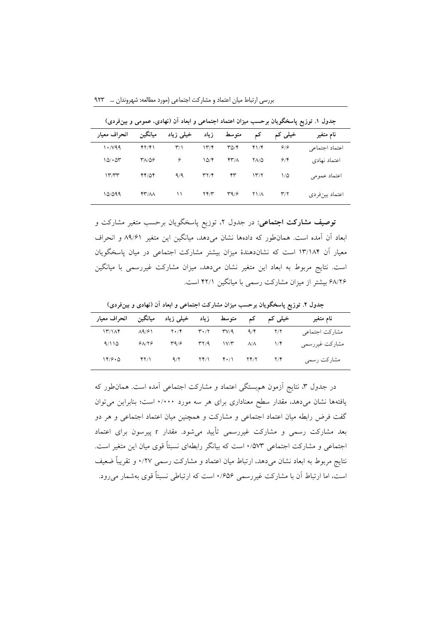**جدول .1 توزیع پاسخگویان برحسب میزان اعتماد اجتماعی و ابعاد آن )نهادی، عمومی و بینفردی(**

| انحراف معيار | ميانگين | خیلی زیاد            | زياد                           | متوسط                    |                    | خیلی کم                 | نام متغیر      |
|--------------|---------|----------------------|--------------------------------|--------------------------|--------------------|-------------------------|----------------|
| 1.799        | ۴۲/۴۱   | $\mathsf{r}_\Lambda$ | ۱۳/۴                           | $\Gamma \Delta/\Upsilon$ | 41/8               | ۶۱۶                     | اعتماد اجتماعي |
| 10/104       | ۳۸/۵۶   | ۶                    | 10/5                           | $YY/\Lambda$             | <b>YA/Q</b>        | 9/8                     | اعتماد نهادي   |
| 1777         | 44/04   | 9/9                  | $\Upsilon \Upsilon / \Upsilon$ | ۴۳                       | 1577               | $1/\Delta$              | اعتماد عمومي   |
| 10/099       | YY/AA   | ۱۱                   | $\Upsilon \Upsilon/\Upsilon$   | 49/5                     | $Y\Lambda/\Lambda$ | $\mathbf{r}/\mathbf{r}$ | اعتماد بينفردي |

**توصیف مشارکت اجتماعی:** در جدول ،2 توزیع پاسخگویان برحسب متغیر مشارکت و ابعاد آن آمده است. همانطور که دادهها نشان میدهد، میانگین این متغیر 89/61 و انحراف معیار آن 13/184 است که نشاندهندة میزان بیشتر مشارکت اجتماعی در میان پاسخگویان است. نتایج مربوط به ابعاد این متغیر نشان میدهد، میزان مشارکت غیررسمی با میانگین 68/26 بیشتر از میزان مشارکت رسمی با میانگین 42/1 است.

**جدول .2 توزیع پاسخگویان برحسب میزان مشارکت اجتماعی و ابعاد آن )نهادی و بینفردی(**

| کم متوسط زیاد خیلی زیاد میانگین انحراف معیار |                |      |                                                                                  | خیلی کم | نام متغير      |
|----------------------------------------------|----------------|------|----------------------------------------------------------------------------------|---------|----------------|
| $\frac{17}{100}$                             | $\lambda$ 9/61 |      | $Y \cdot / Y$ $Y' \cdot / Y$ $Y' / 9$ $9 / 9$ $Y / Y$                            |         | مشاركت اجتماعي |
| 9/110                                        | 91/19          | 49/5 | $\uparrow \uparrow / 9$ $\uparrow \vee / \uparrow$ $\uparrow / 4$ $\uparrow / 1$ |         | مشاركت غيررسمي |
| 149.0                                        | ۴۲/۱           | 9/7  | $\Upsilon(\gamma)$ $\Upsilon(\gamma)$ $\Upsilon(\gamma)$                         | Y/Y     | مشاركت رسمى    |

در جدول ۳، نتایج آزمون هم بستگی اعتماد و مشارکت اجتماعی آمده است. همان طور که یافتهها نشان میدهد، مقدار سطح معناداری برای هر سه مورد 0/000 است؛ بنابراین میتوان گفت فرض رابطه میان اعتماد اجتماعی و مشارکت و همچنین میان اعتماد اجتماعی و هر دو بعد مشارکت رسمی و مشارکت غیررسمی تأیید میشود. مقدار <sup>r</sup> پیرسون برای اعتماد اجتماعی و مشارکت اجتماعی 0/573 است که بیانگر رابطهای نسبتاً قوی میان این متغیر است. نتایج مربوط به ابعاد نشان میدهد، ارتباط میان اعتماد و مشارکت رسمی 0/27 و تقریباً ضعیف است، اما ارتباط آن با مشارکت غیررسمی 0/656 است که ارتباطی نسبتاً قوی بهشمار میرود.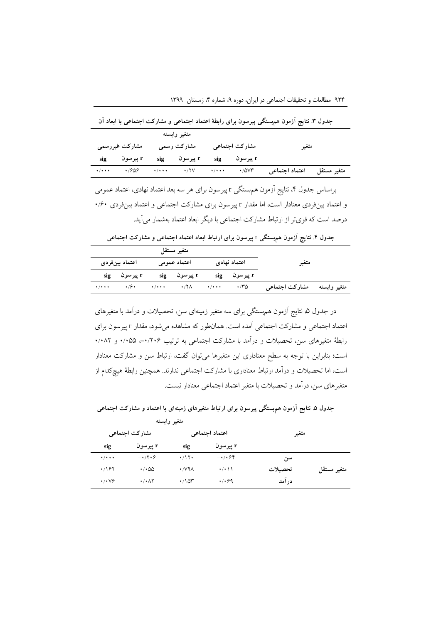**جدول .3 نتایج آزمون همبستگی پیرسون برای رابطة اعتماد اجتماعی و مشارکت اجتماعی با ابعاد آن**

|                                                       |                                          |  | متغير وابسته |       |  |  |
|-------------------------------------------------------|------------------------------------------|--|--------------|-------|--|--|
| مشارکت اجتماعی          مشارکت رسمی<br>مشارکت غیررسمی |                                          |  |              | متغير |  |  |
|                                                       | r پيرسون r sig پيرسون r sig پيرسون r sig |  |              |       |  |  |
|                                                       | $\cdot$ / $\cdot$ $\cdot$ $\cdot$ /909   |  |              |       |  |  |

براساس جدول ۴، نتایج آزمون هم بستگی r پیرسون برای هر سه بعد اعتماد نهادی، اعتماد عمومی و اعتماد بینفردی معنادار است، اما مقدار <sup>r</sup> پیرسون برای مشارکت اجتماعی و اعتماد بینفردی 0/60 درصد است که قویتر از ارتباط مشارکت اجتماعی با دیگر ابعاد اعتماد بهشمار میآید.

**جدول .4 نتایج آزمون همبستگی** <sup>r</sup> **پیرسون برای ارتباط ابعاد اعتماد اجتماعی و مشارکت اجتماعی**

|                                  | متغير مستقل |                                                                                                             |  |              |                             |  |
|----------------------------------|-------------|-------------------------------------------------------------------------------------------------------------|--|--------------|-----------------------------|--|
| اعتماد بينفردي<br>اعتماد عمومى   |             | اعتماد نهادي                                                                                                |  | متغير        |                             |  |
| r پیرسون sig                     |             | r پیرسون $\mathbf{r}$                                                                                       |  | r پیرسون sig |                             |  |
| $\cdot/\cdot\cdot$ $\cdot/\cdot$ |             | $\cdot$ / $\cdot$ $\cdot$ $\cdot$ $\cdot$ / $\cdot$ $\cdot$ $\cdot$ $\cdot$ $\cdot$ $\cdot$ $\wedge$ $\sim$ |  |              | متغير وابسته مشاركت اجتماعي |  |

در جدول ۵ نتایج آزمون همهبستگی برای سه متغیر زمینهای سن، تحصیلات و درآمد با متغیرهای اعتماد اجتماعی و مشارکت اجتماعی آمده است. همانطور که مشاهده میشود، مقدار <sup>r</sup> پیرسون برای رابطهٔ متغیرهای سن، تحصیلات و درآمد با مشارکت اجتماعی به ترتیب ۰/۰۲۰۶ - ۰/۰۵۵ و ۰/۰۸۲ است؛ بنابراین با توجه به سطح معناداری این متغیرها میتوان گفت، ارتباط سن و مشارکت معنادار است، اما تحصیالت و درآمد ارتباط معناداری با مشارکت اجتماعی ندارند. همچنین رابطة هیچکدام از متغیرهای سن، درآمد و تحصیالت با متغیر اعتماد اجتماعی معنادار نیست.

**جدول .5 نتایج آزمون همبستگی پیرسون برای ارتباط متغیرهای زمینهای با اعتماد و مشارکت اجتماعی**

|             |        | متغير وابسته                       |                             |                                   |                             |  |  |  |
|-------------|--------|------------------------------------|-----------------------------|-----------------------------------|-----------------------------|--|--|--|
|             | متغير  | اعتماد اجتماعي                     |                             | مشاركت اجتماعي                    |                             |  |  |  |
|             |        | r پيرسون                           | sig                         | r پیرسون                          | sig                         |  |  |  |
|             | سن     | $-\cdot$ / $\cdot$ $\circ$ $\circ$ | $\cdot$ /\۲ $\cdot$         | $-17.9$                           | $\cdot$ / $\cdot$ + $\cdot$ |  |  |  |
| متغير مستقل | تحصلات | $\cdot$ / $\cdot$ \ \              | $\cdot$ / $\vee$ 9 $\wedge$ | $\cdot$ / $\cdot$ 00              | .797                        |  |  |  |
|             | درآمد  | .4.99                              | $\cdot$ /10۳                | $\cdot$ / $\cdot$ $\wedge$ $\vee$ | $\cdot$ / $\cdot$ $\vee$    |  |  |  |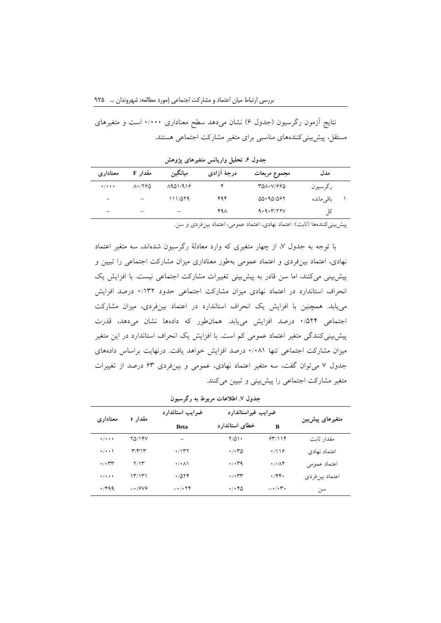نتایج آزمون رگرسیون (جدول ۶) نشان میدهد سطح معناداری ۰/۰۰۰ است و متغیرهای مستقل، پیشبینیکنندههای مناسبی برای متغیر مشارکت اجتماعی هستند.

**جدول .6 تحلیل واریانس متغیرهای پژوهش**

| معنادارى                 | مقدار F                                       | ميانگين                  | درجهٔ آزادی | مجموع مربعات | مدل       |  |
|--------------------------|-----------------------------------------------|--------------------------|-------------|--------------|-----------|--|
| $+ / + + +$              | $\Lambda$ $\cdot$ / $\gamma$ $\beta$ $\Delta$ | A901/918                 |             | 300.V/990    | رگرسيون   |  |
| $\overline{\phantom{0}}$ |                                               | ۱۱۱/۵۲۹                  | ۴۹۴         | 00.90/097    | باقىماندە |  |
| -                        | $\overline{\phantom{0}}$                      | $\overline{\phantom{0}}$ | ۴۹۸         | 9.9.7777V    | ß         |  |

پیش بینی کنندهها (ثابت): اعتماد نهادی، اعتماد عمومی، اعتماد بین فردی و سن.

با توجه به جدول ،7 از چهار متغیری که وارد معادلة رگرسیون شدهاند، سه متغیر اعتماد نهادی، اعتماد بینفردی و اعتماد عمومی بهطور معناداری میزان مشارکت اجتماعی را تبیین و پیشبینی میکنند، اما سن قادر به پیشبینی تغییرات مشارکت اجتماعی نیست. با افزایش یک انحراف استاندارد در اعتماد نهادی میزان مشارکت اجتماعی حدود 0/132 درصد افزایش مییابد. همچنین با افزایش یک انحراف استاندارد در اعتماد بینفردی، میزان مشارکت اجتماعی 0/524 درصد افزایش مییابد. همانطور که دادهها نشان میدهد، قدرت پیشبینیکنندگی متغیر اعتماد عمومی کم است. با افزایش یک انحراف استاندارد در این متغیر میزان مشارکت اجتماعی تنها 0/081 درصد افزایش خواهد یافت. درنهایت براساس دادههای جدول 7 میتوان گفت، سه متغیر اعتماد نهادی، عمومی و بینفردی 63 درصد از تغییرات متغیر مشارکت اجتماعی را پیشبینی و تبیین میکنند.

| معناداري                    | مقدار t       | ضرايب استاندارد      | ضرايب غيراستاندارد               |                                 |                 |
|-----------------------------|---------------|----------------------|----------------------------------|---------------------------------|-----------------|
|                             |               | <b>Beta</b>          | خطاى استاندارد                   | B                               | متغیرهای پیشبین |
| $\cdot/\cdot\cdot\cdot$     | <b>YQ/14V</b> | $\qquad \qquad -$    | $Y/\Delta Y$                     | 55/118                          | مقدار ثابت      |
| $\cdot/\cdot\cdot$          | ۳/۳۱۳         | ۱۳۲.                 | $\cdot$ / $\cdot$ $\sim$ $\circ$ | $\cdot$ /116                    | اعتماد نهادي    |
| $\cdot$ / $\cdot$ rr        | Y/Y           | $\cdot/\cdot \wedge$ | $\cdot$ / $\cdot$ 79             | $\cdot/\cdot\wedge\mathfrak{f}$ | اعتماد عمومي    |
| $\cdot$ / $\cdot$ + $\cdot$ | ۱۳/۱۳۱        | .7014                | $\cdot$ / $\cdot$ ۳۳             | $\cdot$ /۴۴ $\cdot$             | اعتماد بينفردي  |
| $\cdot$ /۴۹۹                | $-19V$        | $-1.74$              | ۱۰۴۵                             | $-\cdot$ / $\cdot$ ۳ $\cdot$    | سن              |

**جدول .7 اطالعات مربوط به رگرسیون**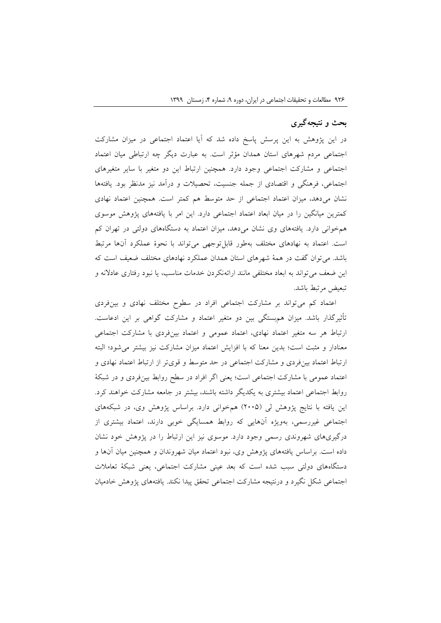#### **بحث و نتیجهگیری**

در این پژوهش به این پرسش پاسخ داده شد که آیا اعتماد اجتماعی در میزان مشارکت اجتماعی مردم شهرهای استان همدان مؤثر است. به عبارت دیگر چه ارتباطی میان اعتماد اجتماعی و مشارکت اجتماعی وجود دارد. همچنین ارتباط این دو متغیر با سایر متغیرهای اجتماعی، فرهنگی و اقتصادی از جمله جنسیت، تحصیالت و درآمد نیز مدنظر بود. یافتهها نشان میدهد، میزان اعتماد اجتماعی از حد متوسط هم کمتر است. همچنین اعتماد نهادی کمترین میانگین را در میان ابعاد اعتماد اجتماعی دارد. این امر با یافتههای پژوهش موسوی همخوانی دارد. یافتههای وی نشان میدهد، میزان اعتماد به دستگاههای دولتی در تهران کم است. اعتماد به نهادهای مختلف بهطور قابلتوجهی میتواند با نحوة عملکرد آنها مرتبط باشد. میتوان گفت در همة شهرهای استان همدان عملکرد نهادهای مختلف ضعیف است که این ضعف میتواند به ابعاد مختلفی مانند ارائهنکردن خدمات مناسب، یا نبود رفتاری عادالنه و تبعیض مرتبط باشد.

اعتماد کم میتواند بر مشارکت اجتماعی افراد در سطوح مختلف نهادی و بینفردی تأثیرگذار باشد. میزان همبستگی بین دو متغیر اعتماد و مشارکت گواهی بر این ادعاست. ارتباط هر سه متغیر اعتماد نهادی، اعتماد عمومی و اعتماد بینفردی با مشارکت اجتماعی معنادار و مثبت است؛ بدین معنا که با افزایش اعتماد میزان مشارکت نیز بیشتر میشود؛ البته ارتباط اعتماد بینفردی و مشارکت اجتماعی در حد متوسط و قویتر از ارتباط اعتماد نهادی و اعتماد عمومی با مشارکت اجتماعی است؛ یعنی اگر افراد در سطح روابط بینفردی و در شبکة روابط اجتماعی اعتماد بیشتری به یکدیگر داشته باشند، بیشتر در جامعه مشارکت خواهند کرد. این یافته با نتایج پژوهش لی )2005( همخوانی دارد. براساس پژوهش وی، در شبکههای اجتماعی غیررسمی، بهویژه آنهایی که روابط همسایگی خوبی دارند، اعتماد بیشتری از درگیریهای شهروندی رسمی وجود دارد. موسوی نیز این ارتباط را در پژوهش خود نشان داده است. براساس یافتههای پژوهش وی، نبود اعتماد میان شهروندان و همچنین میان آنها و دستگاههای دولتی سبب شده است که بعد عینی مشارکت اجتماعی، یعنی شبکة تعامالت اجتماعی شکل نگیرد و درنتیجه مشارکت اجتماعی تحقق پیدا نکند. یافتههای پژوهش خادمیان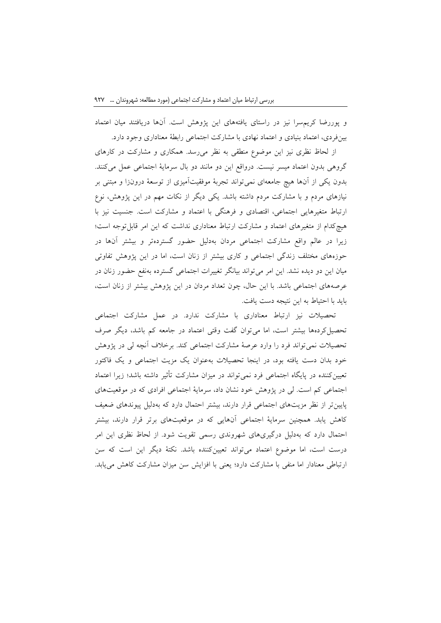و پوررضا کریمسرا نیز در راستای یافتههای این پژوهش است. آنها دریافتند میان اعتماد بینفردی، اعتماد بنیادی و اعتماد نهادی با مشارکت اجتماعی رابطة معناداری وجود دارد.

از لحاظ نظری نیز این موضوع منطقی به نظر میرسد. همکاری و مشارکت در کارهای گروهی بدون اعتماد میسر نیست. درواقع این دو مانند دو بال سرمایة اجتماعی عمل میکنند. بدون یکی از آنها هیچ جامعهای نمیتواند تجربة موفقیتآمیزی از توسعة درونزا و مبتنی بر نیازهای مردم و با مشارکت مردم داشته باشد. یکی دیگر از نکات مهم در این پژوهش، نوع ارتباط متغیرهایی اجتماعی، اقتصادی و فرهنگی با اعتماد و مشارکت است. جنسیت نیز با هیچکدام از متغیرهای اعتماد و مشارکت ارتباط معناداری نداشت که این امر قابلتوجه است؛ زیرا در عالم واقع مشارکت اجتماعی مردان بهدلیل حضور گستردهتر و بیشتر آنها در حوزههای مختلف زندگی اجتماعی و کاری بیشتر از زنان است، اما در این پژوهش تفاوتی میان این دو دیده نشد. این امر میتواند بیانگر تغییرات اجتماعی گسترده بهنفع حضور زنان در عرصههای اجتماعی باشد. با این حال، چون تعداد مردان در این پژوهش بیشتر از زنان است، باید با احتیاط به این نتیجه دست یافت.

تحصیالت نیز ارتباط معناداری با مشارکت ندارد. در عمل مشارکت اجتماعی تحصیلکردهها بیشتر است، اما میتوان گفت وقتی اعتماد در جامعه کم باشد، دیگر صرف تحصیالت نمیتواند فرد را وارد عرصة مشارکت اجتماعی کند. برخالف آنچه لی در پژوهش خود بدان دست یافته بود، در اینجا تحصیالت بهعنوان یک مزیت اجتماعی و یک فاکتور تعیینکننده در پایگاه اجتماعی فرد نمیتواند در میزان مشارکت تأثیر داشته باشد؛ زیرا اعتماد اجتماعی کم است. لی در پژوهش خود نشان داد، سرمایة اجتماعی افرادی که در موقعیتهای پایینتر از نظر مزیتهای اجتماعی قرار دارند، بیشتر احتمال دارد که بهدلیل پیوندهای ضعیف کاهش یابد. همچنین سرمایة اجتماعی آنهایی که در موقعیتهای برتر قرار دارند، بیشتر احتمال دارد که بهدلیل درگیریهای شهروندی رسمی تقویت شود. از لحاظ نظری این امر درست است، اما موضوع اعتماد میتواند تعیینکننده باشد. نکتة دیگر این است که سن ارتباطی معنادار اما منفی با مشارکت دارد؛ یعنی با افزایش سن میزان مشارکت کاهش مییابد.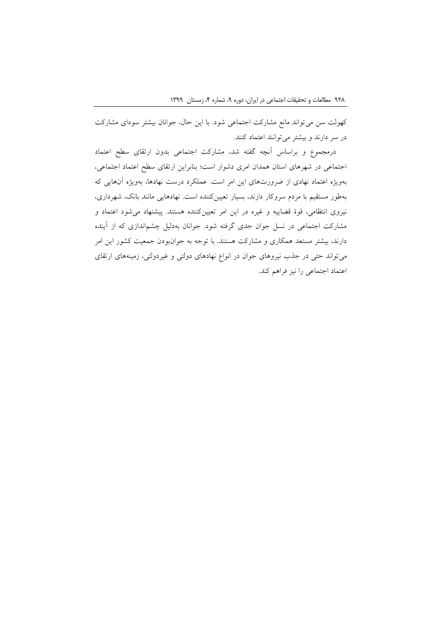کهولت سن میتواند مانع مشارکت اجتماعی شود. با این حال، جوانان بیشتر سودای مشارکت در سر دارند و بیشتر میتوانند اعتماد کنند.

درمجموع و براساس آنچه گفته شد، مشارکت اجتماعی بدون ارتقای سطح اعتماد اجتماعی در شهرهای استان همدان امری دشوار است؛ بنابراین ارتقای سطح اعتماد اجتماعی، بهویژه اعتماد نهادی از ضرورتهای این امر است. عملکرد درست نهادها، بهویژه آنهایی که بهطور مستقیم با مردم سروکار دارند، بسیار تعیینکننده است. نهادهایی مانند بانک، شهرداری، نیروی انتظامی، قوة قضاییه و غیره در این امر تعیینکننده هستند. پیشنهاد میشود اعتماد و مشارکت اجتماعی در نسل جوان جدی گرفته شود. جوانان بهدلیل چشماندازی که از آینده دارند، بیشتر مستعد همکاری و مشارکت هستند. با توجه به جوانبودن جمعیت کشور این امر میتواند حتی در جذب نیروهای جوان در انواع نهادهای دولتی و غیردولتی، زمینههای ارتقای اعتماد اجتماعی را نیز فراهم کند.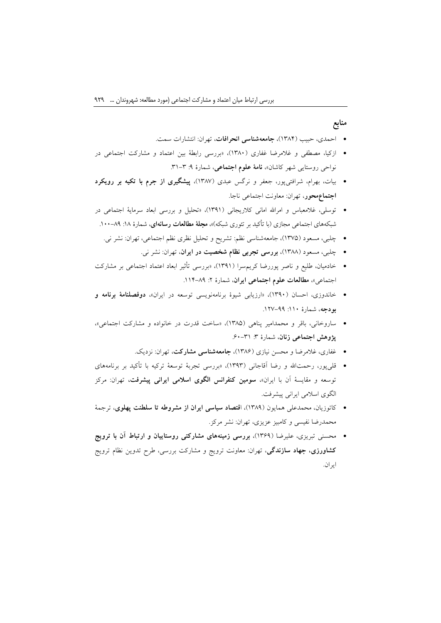# **منابع**

- احمدی، حبیب )1384(، **جامعهشناسی انحرافات**، تهران: انتشارات سمت.
- ازکیا، مصطفی و غالمرضا غفاری )1380(، »بررسی رابطة بین اعتماد و مشارکت اجتماعی در نواحی روستایی شهر کاشان»، **نامهٔ علوم اجتماعی**، شمارهٔ ۹: ۳-۳۱.
- بیات، بهرام، شرافتیپور، جعفر و نرگس عبدی )1387(، **پیشگیری از جرم با تکیه بر رویکرد اجتماعمحور**، تهران: معاونت اجتماعی ناجا.
- توسلی، غالمعباس و امراهلل امانی کالریجانی )1391(، »تحلیل و بررسی ابعاد سرمایة اجتماعی در شبکههای اجتماعی مجازی (با تأکید بر تئوری شبکه)»**، مجلهٔ مطالعات رسانهای**، شمارهٔ ۱۸: ۸۹–۱۰۰.
	- چلبی، مسعود )1375(، جامعهشناسی نظم: تشریح و تحلیل نظری نظم اجتماعی، تهران: نشر نی.
		- چلبی، مسعود )1388(، **بررسی تجربی نظام شخصیت در ایران**، تهران: نشر نی.
- خادمیان، طلیع و ناصر پوررضا کریمسرا )1391(، »بررسی تأثیر ابعاد اعتماد اجتماعی بر مشارکت اجتماعی»، **مطالعات علوم اجتماعی ایران**، شمارهٔ ۲: ۸۹–۱۱۴.
- خاندوزی، احسان )1390(، »ارزیابی شیوة برنامهنویسی توسعه در ایران«، **دوفصلنامة برنامه و بودجه،** شمارة ١١٠: ٩٩–١٢٧.
- ساروخانی، باقر و محمدامیر پناهی )1385(، »ساخت قدرت در خانواده و مشارکت اجتماعی«، **پژوهش اجتماعی زنان**، شمارهٔ ۳: ۳۱-۶۰.
	- غفاری، غالمرضا و محسن نیازی )1386(، **جامعهشناسی مشارکت**، تهران: نزدیک.
- قلیپور، رحمتاهلل و رضا آقاجانی )1393(، »بررسی تجربة توسعة ترکیه با تأکید بر برنامههای توسعه و مقایسة آن با ایران«، **سومین کنفرانس الگوی اسالمی ایرانی پیشرفت،** تهران: مرکز الگوی اسالمی ایرانی پیشرفت.
- کاتوزیان، محمدعلی همایون )1389(، ا**قتصاد سیاسی ایران از مشروطه تا سلطنت پهلوی**، ترجمة محمدرضا نفیسی و کامبیز عزیزی، تهران: نشر مرکز.
- محسنی تبریزی، علیرضا )1369(، **بررسی زمینههای مشارکتی روستاییان و ارتباط آن با ترویج کشاورزی، جهاد سازندگی**، تهران: معاونت ترویج و مشارکت بررسی، طرح تدوین نظام ترویج ایران.